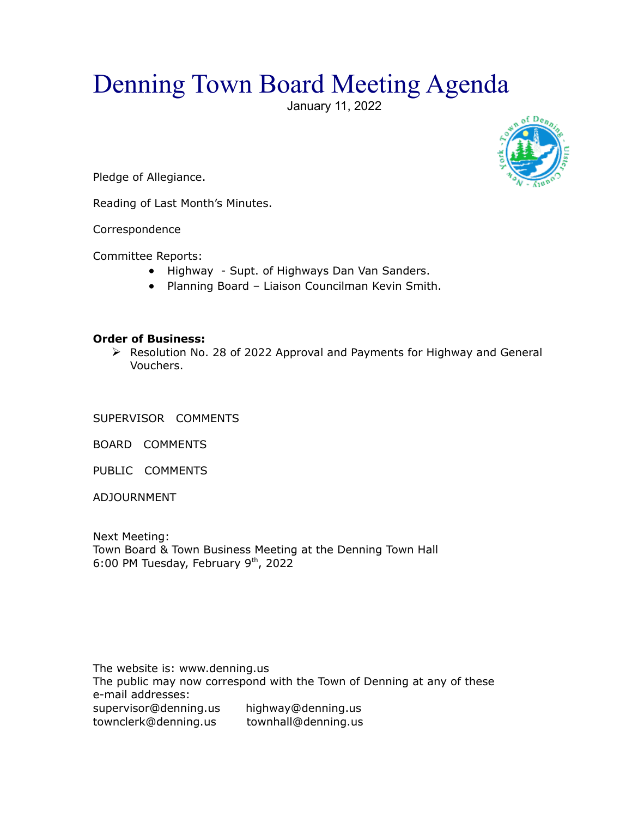## Denning Town Board Meeting Agenda

January 11, 2022



Pledge of Allegiance.

Reading of Last Month's Minutes.

Correspondence

Committee Reports:

- Highway Supt. of Highways Dan Van Sanders.
- Planning Board Liaison Councilman Kevin Smith.

## **Order of Business:**

 Resolution No. 28 of 2022 Approval and Payments for Highway and General Vouchers.

SUPERVISOR COMMENTS

BOARD COMMENTS

PUBLIC COMMENTS

ADJOURNMENT

Next Meeting: Town Board & Town Business Meeting at the Denning Town Hall 6:00 PM Tuesday, February  $9<sup>th</sup>$ , 2022

The website is: www.denning.us The public may now correspond with the Town of Denning at any of these e-mail addresses: supervisor@denning.us highway@denning.us townclerk@denning.us townhall@denning.us